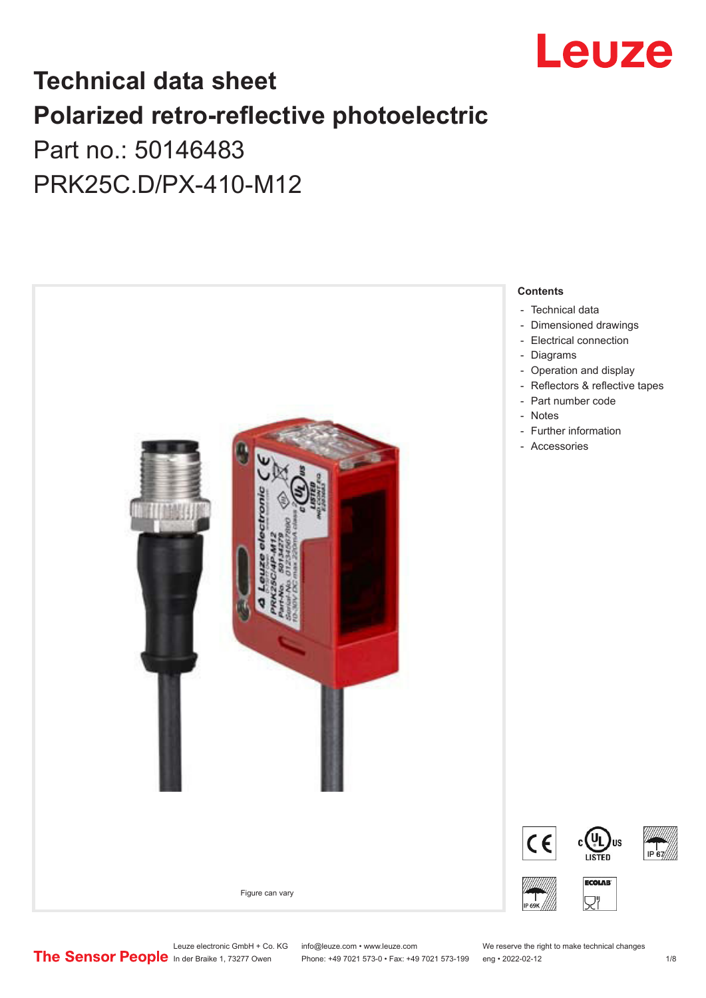

## **Technical data sheet Polarized retro-reflective photoelectric**  Part no.: 50146483

PRK25C.D/PX-410-M12



Leuze electronic GmbH + Co. KG info@leuze.com • www.leuze.com We reserve the right to make technical changes<br>
The Sensor People in der Braike 1, 73277 Owen Phone: +49 7021 573-0 • Fax: +49 7021 573-199 eng • 2022-02-12

Phone: +49 7021 573-0 • Fax: +49 7021 573-199 eng • 2022-02-12 12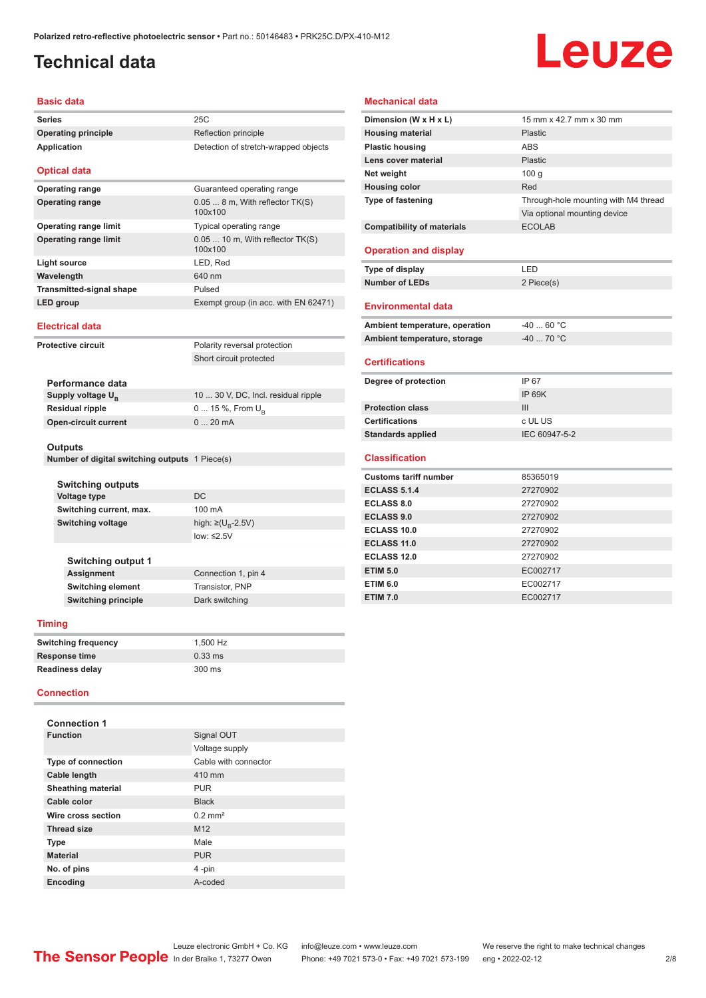## <span id="page-1-0"></span>**Technical data**

# Leuze

#### **Basic data**

| Series                                         | 25C                                          |
|------------------------------------------------|----------------------------------------------|
| <b>Operating principle</b>                     | Reflection principle                         |
| <b>Application</b>                             | Detection of stretch-wrapped objects         |
| <b>Optical data</b>                            |                                              |
| <b>Operating range</b>                         | Guaranteed operating range                   |
| <b>Operating range</b>                         | $0.058$ m, With reflector $TK(S)$<br>100x100 |
| <b>Operating range limit</b>                   | Typical operating range                      |
| <b>Operating range limit</b>                   | 0.05  10 m, With reflector TK(S)<br>100x100  |
| Light source                                   | LED, Red                                     |
| Wavelength                                     | 640 nm                                       |
| <b>Transmitted-signal shape</b>                | Pulsed                                       |
| <b>LED</b> group                               | Exempt group (in acc. with EN 62471)         |
|                                                |                                              |
| <b>Electrical data</b>                         |                                              |
| <b>Protective circuit</b>                      | Polarity reversal protection                 |
|                                                | Short circuit protected                      |
| Performance data                               |                                              |
| Supply voltage U <sub>B</sub>                  | 10  30 V, DC, Incl. residual ripple          |
| <b>Residual ripple</b>                         | 0  15 %, From $U_{\rm B}$                    |
| <b>Open-circuit current</b>                    | 020mA                                        |
| <b>Outputs</b>                                 |                                              |
| Number of digital switching outputs 1 Piece(s) |                                              |
| <b>Switching outputs</b>                       |                                              |
| Voltage type                                   | DC                                           |
| Switching current, max.                        | 100 mA                                       |

#### **Mechanical data**

| Dimension (W x H x L)             | 15 mm x 42.7 mm x 30 mm              |
|-----------------------------------|--------------------------------------|
| <b>Housing material</b>           | Plastic                              |
| <b>Plastic housing</b>            | <b>ABS</b>                           |
| Lens cover material               | Plastic                              |
| Net weight                        | 100 <sub>g</sub>                     |
| <b>Housing color</b>              | Red                                  |
| <b>Type of fastening</b>          | Through-hole mounting with M4 thread |
|                                   | Via optional mounting device         |
| <b>Compatibility of materials</b> | <b>ECOLAB</b>                        |
| <b>Operation and display</b>      |                                      |
| Type of display                   | LED                                  |
| <b>Number of LEDs</b>             | 2 Piece(s)                           |
| <b>Environmental data</b>         |                                      |
| Ambient temperature, operation    | $-4060 °C$                           |
| Ambient temperature, storage      | $-4070 °C$                           |
| <b>Certifications</b>             |                                      |
| Degree of protection              | IP 67                                |
|                                   | <b>IP 69K</b>                        |
| <b>Protection class</b>           | III                                  |
| <b>Certifications</b>             | c UL US                              |
| <b>Standards applied</b>          | IEC 60947-5-2                        |
| <b>Classification</b>             |                                      |
| <b>Customs tariff number</b>      | 85365019                             |
| <b>ECLASS 5.1.4</b>               | 27270902                             |
| <b>ECLASS 8.0</b>                 | 27270902                             |
| <b>ECLASS 9.0</b>                 | 27270902                             |
| ECLASS 10.0                       | 27270902                             |
| <b>ECLASS 11.0</b>                | 27270902                             |
| <b>ECLASS 12.0</b>                | 27270902                             |
| <b>ETIM 5.0</b>                   | EC002717                             |
| <b>ETIM 6.0</b>                   | EC002717                             |
| <b>ETIM 7.0</b>                   | EC002717                             |
|                                   |                                      |

#### **Timing**

**Switching output 1**

| <b>Switching frequency</b> | 1.500 Hz  |
|----------------------------|-----------|
| Response time              | $0.33$ ms |
| Readiness delay            | 300 ms    |

**Switching element** Transistor, PNP **Switching principle** Dark switching

low: ≤2.5V

**Connection 1, pin 4** 

#### **Connection**

| <b>Connection 1</b>       |                       |
|---------------------------|-----------------------|
| <b>Function</b>           | Signal OUT            |
|                           | Voltage supply        |
| <b>Type of connection</b> | Cable with connector  |
| <b>Cable length</b>       | 410 mm                |
| <b>Sheathing material</b> | <b>PUR</b>            |
| Cable color               | <b>Black</b>          |
| Wire cross section        | $0.2$ mm <sup>2</sup> |
| <b>Thread size</b>        | M <sub>12</sub>       |
| <b>Type</b>               | Male                  |
| <b>Material</b>           | <b>PUR</b>            |
| No. of pins               | 4-pin                 |
| <b>Encoding</b>           | A-coded               |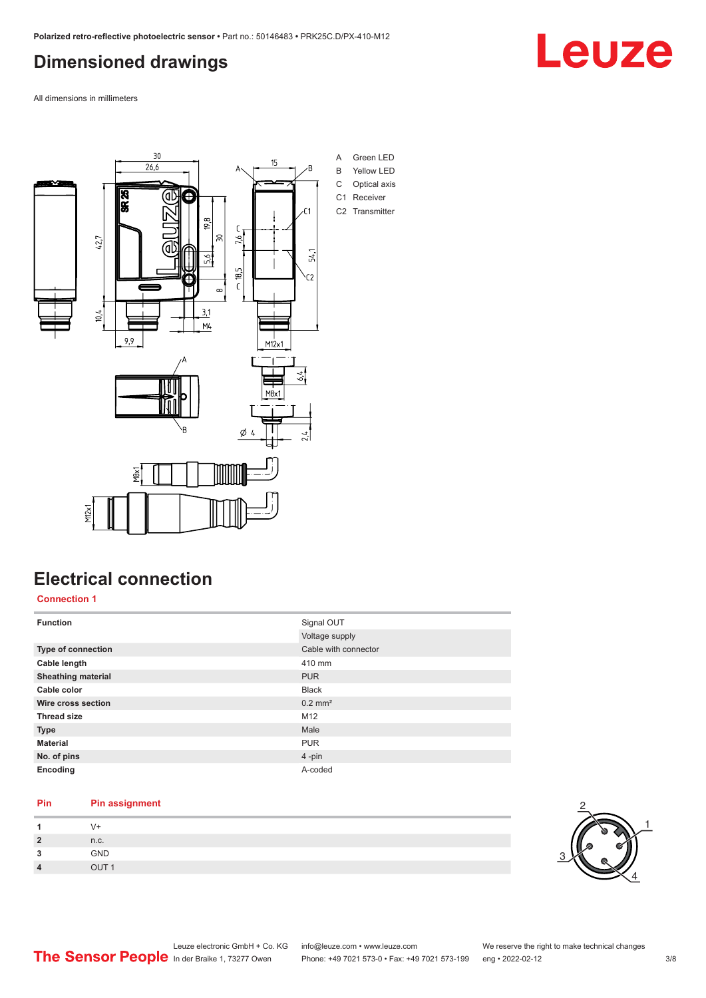### <span id="page-2-0"></span>**Dimensioned drawings**

All dimensions in millimeters



### **Electrical connection**

**Connection 1**

| <b>Function</b>           | Signal OUT            |
|---------------------------|-----------------------|
|                           | Voltage supply        |
| Type of connection        | Cable with connector  |
| Cable length              | 410 mm                |
| <b>Sheathing material</b> | <b>PUR</b>            |
| Cable color               | <b>Black</b>          |
| Wire cross section        | $0.2$ mm <sup>2</sup> |
| <b>Thread size</b>        | M <sub>12</sub>       |
| <b>Type</b>               | Male                  |
| <b>Material</b>           | <b>PUR</b>            |
| No. of pins               | $4 - pin$             |
| Encoding                  | A-coded               |

#### **Pin Pin assignment**

| $\overline{2}$<br>- | n.c.         |
|---------------------|--------------|
| 2<br>$\cdot$        | GND          |
| $\sqrt{ }$          | $\bigcap$ IT |



Leuze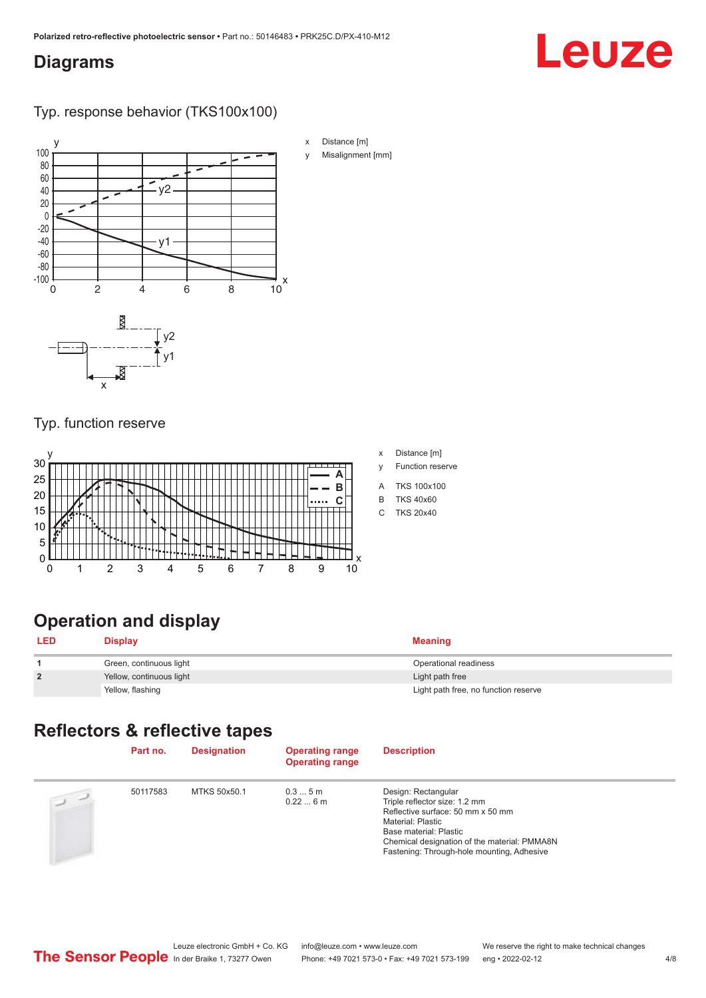#### <span id="page-3-0"></span>**Diagrams**

## Leuze

Typ. response behavior (TKS100x100)



#### Typ. function reserve



#### x Distance [m]

- y Function reserve
- A TKS 100x100
- B TKS 40x60
- C TKS 20x40

## **Operation and display**

| <b>LED</b>     | <b>Display</b>           | <b>Meaning</b>                       |
|----------------|--------------------------|--------------------------------------|
|                | Green, continuous light  | Operational readiness                |
| $\overline{2}$ | Yellow, continuous light | Light path free                      |
|                | Yellow, flashing         | Light path free, no function reserve |

### **Reflectors & reflective tapes**

|                | Part no. | <b>Designation</b> | <b>Operating range</b><br><b>Operating range</b> | <b>Description</b>                                                                                                                                                                                                                     |
|----------------|----------|--------------------|--------------------------------------------------|----------------------------------------------------------------------------------------------------------------------------------------------------------------------------------------------------------------------------------------|
| $\overline{2}$ | 50117583 | MTKS 50x50.1       | 0.35m<br>0.226m                                  | Design: Rectangular<br>Triple reflector size: 1.2 mm<br>Reflective surface: 50 mm x 50 mm<br>Material: Plastic<br>Base material: Plastic<br>Chemical designation of the material: PMMA8N<br>Fastening: Through-hole mounting, Adhesive |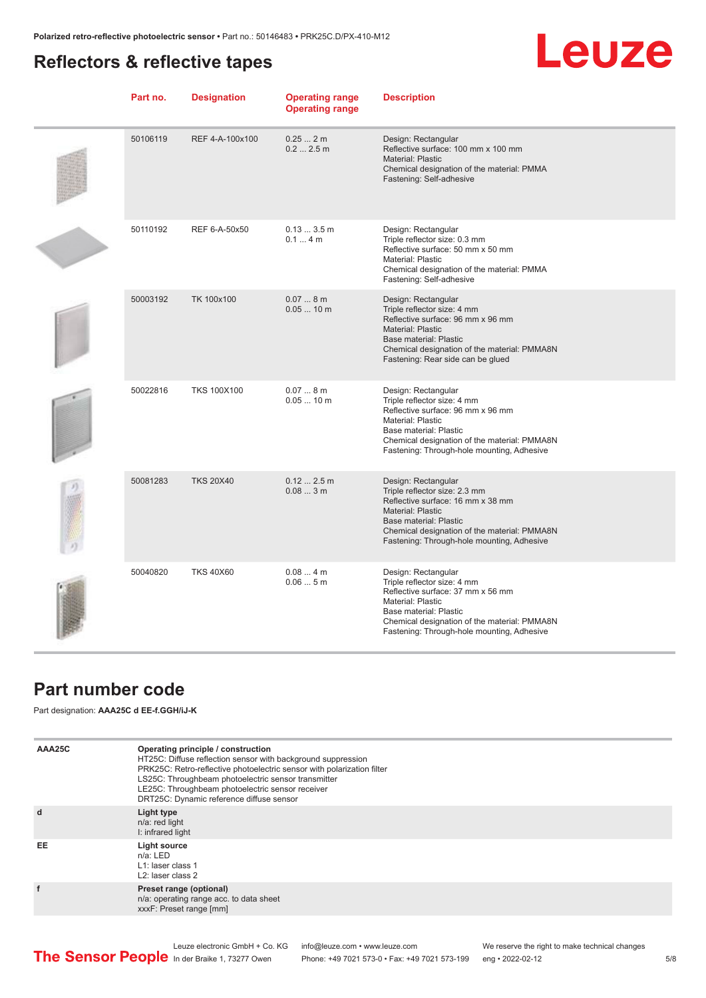### <span id="page-4-0"></span>**Reflectors & reflective tapes**

## **Leuze**

| Part no. | <b>Designation</b> | <b>Operating range</b><br><b>Operating range</b> | <b>Description</b>                                                                                                                                                                                                                            |
|----------|--------------------|--------------------------------------------------|-----------------------------------------------------------------------------------------------------------------------------------------------------------------------------------------------------------------------------------------------|
| 50106119 | REF 4-A-100x100    | 0.252m<br>0.22.5m                                | Design: Rectangular<br>Reflective surface: 100 mm x 100 mm<br>Material: Plastic<br>Chemical designation of the material: PMMA<br>Fastening: Self-adhesive                                                                                     |
| 50110192 | REF 6-A-50x50      | 0.133.5m<br>0.14m                                | Design: Rectangular<br>Triple reflector size: 0.3 mm<br>Reflective surface: 50 mm x 50 mm<br><b>Material: Plastic</b><br>Chemical designation of the material: PMMA<br>Fastening: Self-adhesive                                               |
| 50003192 | TK 100x100         | 0.078m<br>$0.0510$ m                             | Design: Rectangular<br>Triple reflector size: 4 mm<br>Reflective surface: 96 mm x 96 mm<br><b>Material: Plastic</b><br><b>Base material: Plastic</b><br>Chemical designation of the material: PMMA8N<br>Fastening: Rear side can be glued     |
| 50022816 | <b>TKS 100X100</b> | 0.078m<br>$0.0510$ m                             | Design: Rectangular<br>Triple reflector size: 4 mm<br>Reflective surface: 96 mm x 96 mm<br><b>Material: Plastic</b><br>Base material: Plastic<br>Chemical designation of the material: PMMA8N<br>Fastening: Through-hole mounting, Adhesive   |
| 50081283 | <b>TKS 20X40</b>   | 0.122.5m<br>0.083m                               | Design: Rectangular<br>Triple reflector size: 2.3 mm<br>Reflective surface: 16 mm x 38 mm<br><b>Material: Plastic</b><br>Base material: Plastic<br>Chemical designation of the material: PMMA8N<br>Fastening: Through-hole mounting, Adhesive |
| 50040820 | <b>TKS 40X60</b>   | 0.084m<br>0.065m                                 | Design: Rectangular<br>Triple reflector size: 4 mm<br>Reflective surface: 37 mm x 56 mm<br><b>Material: Plastic</b><br>Base material: Plastic<br>Chemical designation of the material: PMMA8N<br>Fastening: Through-hole mounting, Adhesive   |

#### **Part number code**

Part designation: **AAA25C d EE-f.GGH/iJ-K**

| AAA25C | Operating principle / construction<br>HT25C: Diffuse reflection sensor with background suppression<br>PRK25C: Retro-reflective photoelectric sensor with polarization filter<br>LS25C: Throughbeam photoelectric sensor transmitter<br>LE25C: Throughbeam photoelectric sensor receiver<br>DRT25C: Dynamic reference diffuse sensor |
|--------|-------------------------------------------------------------------------------------------------------------------------------------------------------------------------------------------------------------------------------------------------------------------------------------------------------------------------------------|
| d      | Light type<br>n/a: red light<br>I: infrared light                                                                                                                                                                                                                                                                                   |
| EE     | Light source<br>$n/a$ : LED<br>L1: laser class 1<br>L <sub>2</sub> : laser class 2                                                                                                                                                                                                                                                  |
| f      | Preset range (optional)<br>n/a: operating range acc. to data sheet<br>xxxF: Preset range [mm]                                                                                                                                                                                                                                       |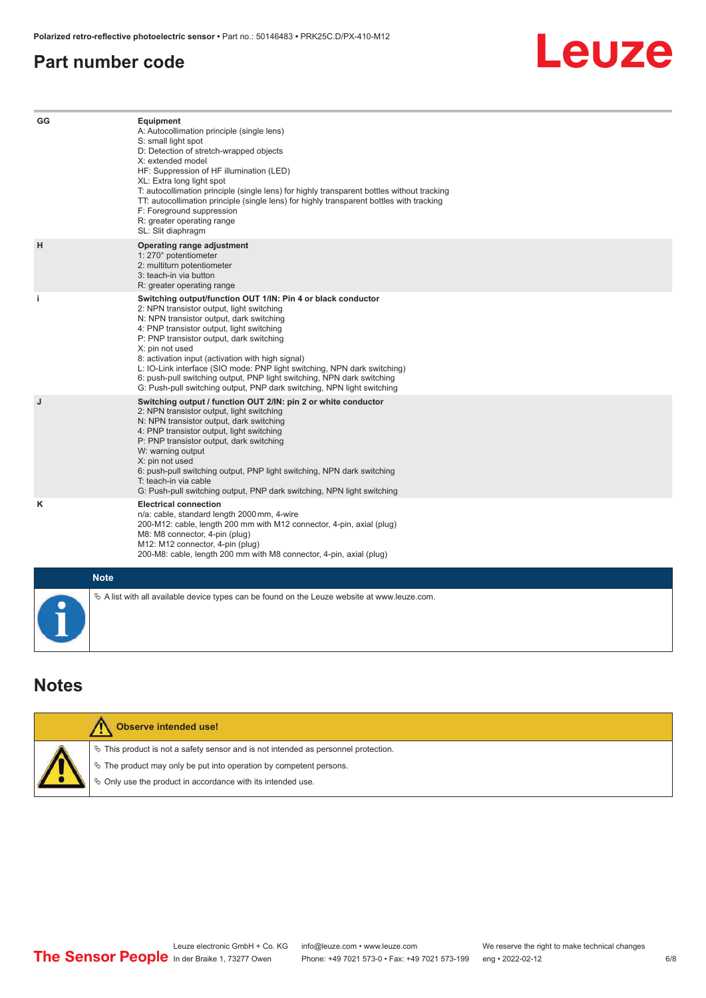#### <span id="page-5-0"></span>**Part number code**

## Leuze

| GG        | Equipment<br>A: Autocollimation principle (single lens)<br>S: small light spot<br>D: Detection of stretch-wrapped objects<br>X: extended model<br>HF: Suppression of HF illumination (LED)<br>XL: Extra long light spot<br>T: autocollimation principle (single lens) for highly transparent bottles without tracking<br>TT: autocollimation principle (single lens) for highly transparent bottles with tracking<br>F: Foreground suppression<br>R: greater operating range<br>SL: Slit diaphragm                                                     |
|-----------|--------------------------------------------------------------------------------------------------------------------------------------------------------------------------------------------------------------------------------------------------------------------------------------------------------------------------------------------------------------------------------------------------------------------------------------------------------------------------------------------------------------------------------------------------------|
| н         | Operating range adjustment<br>1: 270° potentiometer<br>2: multiturn potentiometer<br>3: teach-in via button<br>R: greater operating range                                                                                                                                                                                                                                                                                                                                                                                                              |
| j.        | Switching output/function OUT 1/IN: Pin 4 or black conductor<br>2: NPN transistor output, light switching<br>N: NPN transistor output, dark switching<br>4: PNP transistor output, light switching<br>P: PNP transistor output, dark switching<br>X: pin not used<br>8: activation input (activation with high signal)<br>L: IO-Link interface (SIO mode: PNP light switching, NPN dark switching)<br>6: push-pull switching output, PNP light switching, NPN dark switching<br>G: Push-pull switching output, PNP dark switching, NPN light switching |
| J         | Switching output / function OUT 2/IN: pin 2 or white conductor<br>2: NPN transistor output, light switching<br>N: NPN transistor output, dark switching<br>4: PNP transistor output, light switching<br>P: PNP transistor output, dark switching<br>W: warning output<br>X: pin not used<br>6: push-pull switching output, PNP light switching, NPN dark switching<br>T: teach-in via cable<br>G: Push-pull switching output, PNP dark switching, NPN light switching                                                                                  |
| Κ         | <b>Electrical connection</b><br>n/a: cable, standard length 2000 mm, 4-wire<br>200-M12: cable, length 200 mm with M12 connector, 4-pin, axial (plug)<br>M8: M8 connector, 4-pin (plug)<br>M12: M12 connector, 4-pin (plug)<br>200-M8: cable, length 200 mm with M8 connector, 4-pin, axial (plug)                                                                                                                                                                                                                                                      |
|           | <b>Note</b>                                                                                                                                                                                                                                                                                                                                                                                                                                                                                                                                            |
| $\bullet$ | $\&$ A list with all available device types can be found on the Leuze website at www.leuze.com.                                                                                                                                                                                                                                                                                                                                                                                                                                                        |

#### **Notes**

| <b>Observe intended use!</b>                                                                                                                                                                                                  |
|-------------------------------------------------------------------------------------------------------------------------------------------------------------------------------------------------------------------------------|
| $\%$ This product is not a safety sensor and is not intended as personnel protection.<br>$\%$ The product may only be put into operation by competent persons.<br>♦ Only use the product in accordance with its intended use. |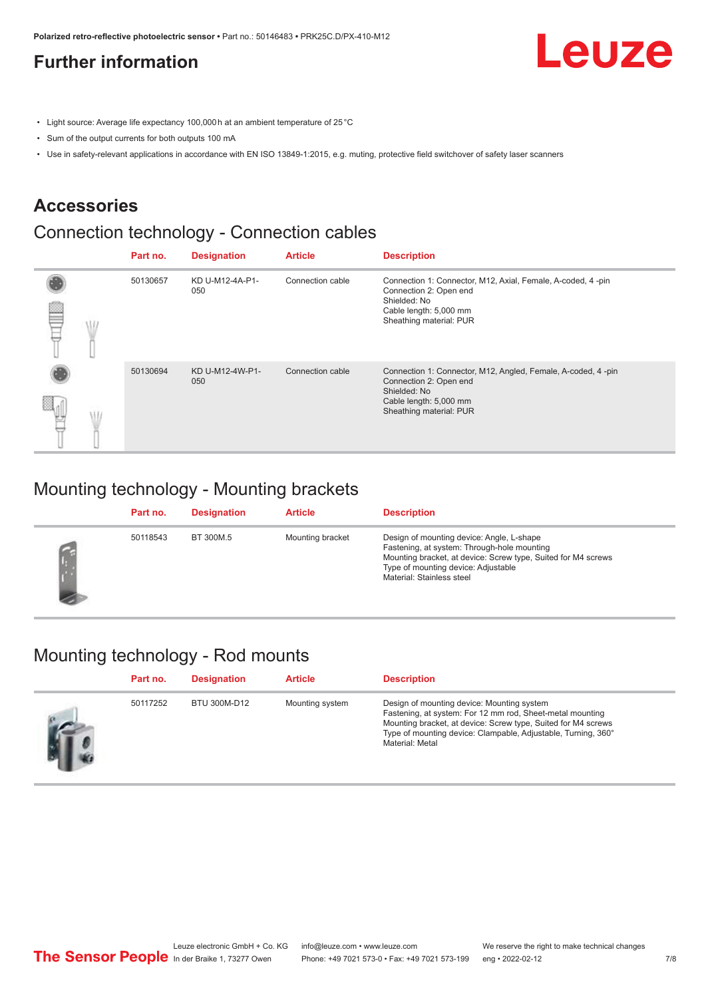### <span id="page-6-0"></span>**Further information**

Leuze

- Light source: Average life expectancy 100,000 h at an ambient temperature of 25 °C
- Sum of the output currents for both outputs 100 mA
- Use in safety-relevant applications in accordance with EN ISO 13849-1:2015, e.g. muting, protective field switchover of safety laser scanners

#### **Accessories**

### Connection technology - Connection cables

|   | Part no. | <b>Designation</b>     | <b>Article</b>   | <b>Description</b>                                                                                                                                          |
|---|----------|------------------------|------------------|-------------------------------------------------------------------------------------------------------------------------------------------------------------|
| œ | 50130657 | KD U-M12-4A-P1-<br>050 | Connection cable | Connection 1: Connector, M12, Axial, Female, A-coded, 4-pin<br>Connection 2: Open end<br>Shielded: No<br>Cable length: 5,000 mm<br>Sheathing material: PUR  |
|   | 50130694 | KD U-M12-4W-P1-<br>050 | Connection cable | Connection 1: Connector, M12, Angled, Female, A-coded, 4-pin<br>Connection 2: Open end<br>Shielded: No<br>Cable length: 5,000 mm<br>Sheathing material: PUR |

#### Mounting technology - Mounting brackets

| Part no. | <b>Designation</b> | <b>Article</b>   | <b>Description</b>                                                                                                                                                                                                            |
|----------|--------------------|------------------|-------------------------------------------------------------------------------------------------------------------------------------------------------------------------------------------------------------------------------|
| 50118543 | BT 300M.5          | Mounting bracket | Design of mounting device: Angle, L-shape<br>Fastening, at system: Through-hole mounting<br>Mounting bracket, at device: Screw type, Suited for M4 screws<br>Type of mounting device: Adjustable<br>Material: Stainless steel |

#### Mounting technology - Rod mounts

| Part no. | <b>Designation</b> | <b>Article</b>  | <b>Description</b>                                                                                                                                                                                                                                           |
|----------|--------------------|-----------------|--------------------------------------------------------------------------------------------------------------------------------------------------------------------------------------------------------------------------------------------------------------|
| 50117252 | BTU 300M-D12       | Mounting system | Design of mounting device: Mounting system<br>Fastening, at system: For 12 mm rod, Sheet-metal mounting<br>Mounting bracket, at device: Screw type, Suited for M4 screws<br>Type of mounting device: Clampable, Adjustable, Turning, 360°<br>Material: Metal |